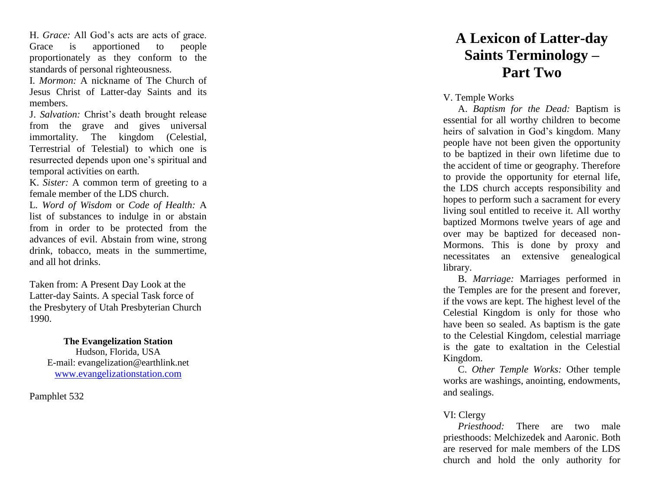H . *Grace:* All God's acts are acts of grace. Grace is apportioned to people proportionately as they conform to the standards of personal righteousness.

I. *Mormon:* A nickname of The Church of Jesus Christ of Latter -day Saints and its members.

J. *Salvation:* Christ's death brought release from the grave and gives universal immortality. The kingdom (Celestial, Terrestrial of Telestial) to which one is resurrected depends upon one's spiritual and temporal activities on earth.

K. *Sister:* A common term of greeting to a female member of the LDS church.

L*. Word of Wisdom* or *Code of Health:* A list of substances to indulge in or abstain from in order to be protected from the advances of evil. Abstain from wine, strong drink, tobacco, meats in the summertime, and all hot drinks.

Taken from: A Present Day Look at the Latter -day Saints. A special Task force of the Presbytery of Utah Presbyterian Church 1990.

> **The Evangelization Station** Hudson, Florida, USA E -mail: evangelization@earthlink.net [www.evangelizationstation.com](http://www.pjpiisoe.org/)

Pamphlet 532

## **A Lexicon of Latter -day Saints Terminology – Part Two**

V. Temple Works

A. *Baptism for the Dead:* Baptism is essential for all worthy children to become heirs of salvation in God's kingdom. Many people have not been given the opportunity to be baptized in their own lifetime due to the accident of time or geography. Therefore to provide the opportunity for eternal life, the LDS church accepts responsibility and hopes to perform such a sacrament for every living soul entitled to receive it. All worthy baptized Mormons twelve years of age and over may be baptized for deceased non - Mormons. This is done by proxy and necessitates an extensive genealogical library.

B. *Marriage:* Marriages performed in the Temples are for the present and forever, if the vows are kept. The highest level of the Celestial Kingdom is only for those who have been so sealed. As baptism is the gate to the Celestial Kingdom, celestial marriage is the gate to exaltation in the Celestial Kingdom.

C. *Other Temple Works:* Other temple works are washings, anointing, endowments, and sealings.

## VI: Clergy

*Priesthood:* There are two male priesthoods: Melchizedek and Aaronic. Both are reserved for male members of the LDS church and hold the only authority for